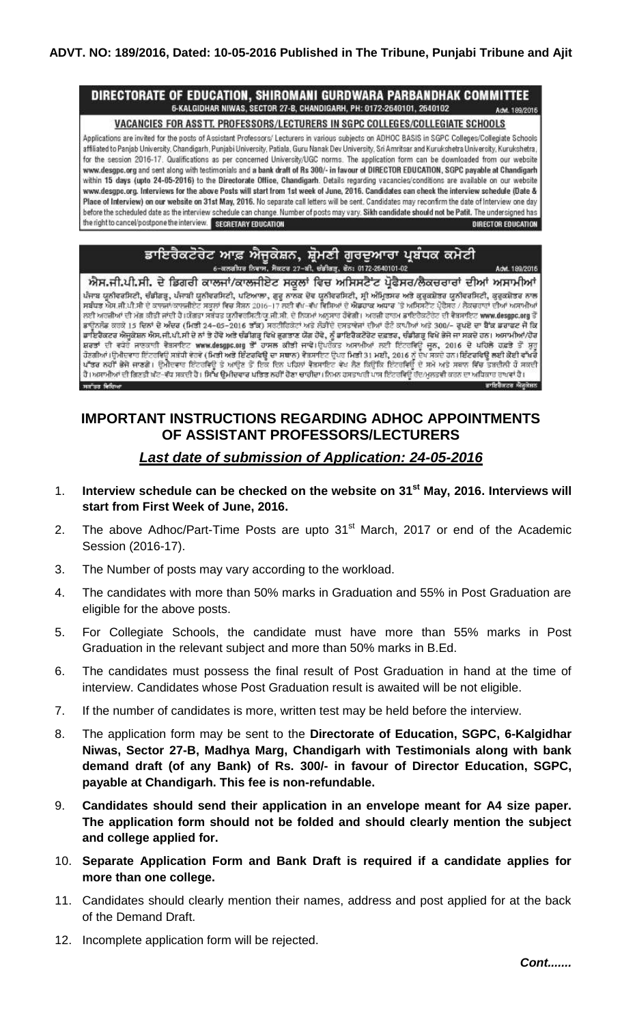#### DIRECTORATE OF EDUCATION, SHIROMANI GURDWARA PARBANDHAK COMMITTEE 6-KALGIDHAR NIWAS, SECTOR 27-B, CHANDIGARH, PH: 0172-2640101, 2640102 **Add: 189/2016**

VACANCIES FOR ASSTT. PROFESSORS/LECTURERS IN SGPC COLLEGES/COLLEGIATE SCHOOLS

Applications are invited for the posts of Assistant Professors/ Lecturers in various subjects on ADHOC BASIS in SGPC Colleges/Collegiate Schools affiliated to Panjab University, Chandigarh, Punjabi University, Patiala, Guru Nanak Dev University, Sri Amritsar and Kurukshetra University, Kurukshetra, for the session 2016-17. Qualifications as per concerned University/UGC norms. The application form can be downloaded from our website www.desgpc.org and sent along with testimonials and a bank draft of Rs 300/- in favour of DIRECTOR EDUCATION, SGPC payable at Chandigarh within 15 days (upto 24-05-2016) to the Directorate Office, Chandigarh. Details regarding vacancies/conditions are available on our website www.desgpc.org. Interviews for the above Posts will start from 1st week of June, 2016. Candidates can check the interview schedule (Date & Place of Interview) on our website on 31st May, 2016. No separate call letters will be sent. Candidates may reconfirm the date of Interview one day before the scheduled date as the interview schedule can change. Number of posts may vary. Sikh candidate should not be Patit. The undersigned has the right to cancel/postpone the interview. SECRETARY EDUCATION DIRECTOR EDUCATION

#### ਡਾਇਰੈਕਟੋਰੇਟ ਆਫ਼ ਐਜੂਕੇਸ਼ਨ, ਸ਼੍ਰੋਮਣੀ ਗੁਰਦੁਆਰਾ ਪ੍ਰਬੰਧਕ ਕਮੇਟੀ 6-वलनीयन तिराण, मैक्टन 27-वी, खेडीवजू, बेंत: 0172-2540101-02

ਐਸ.ਜੀ.ਪੀ.ਸੀ. ਦੇ ਡਿਗਰੀ ਕਾਲਜਾਂ/ਕਾਲਜੀਏਟ ਸਕੂਲਾਂ ਵਿਚ ਅਸਿਸਟੈਂਟ ਪ੍ਰੋਫੈਸਰ/ਲੈਕਚਰਾਰਾਂ ਦੀਆਂ ਅਸਾਮੀਆਂ ਪੰਜਾਬ ਯੂਨੀਵਰਸਿਟੀ, ਚੰਡੀਗੜ੍ਹ, ਪੰਜਾਬੀ ਯੂਨੀਵਰਸਿਟੀ, ਪਟਿਆਲਾ, ਗੁਰੂ ਨਾਨਕ ਦੇਵ ਯੂਨੀਵਰਸਿਟੀ, ਸ੍ਰੀ ਅੰਮ੍ਰਿਤਸਰ ਅਤੇ ਕੁਰੁਕਸ਼ੇਤਰ ਯੂਨੀਵਰਸਿਟੀ, ਕੁਰੁਕਸ਼ੇਤਰ ਨਾਲ<br>ਸਬੰਧਤ ਐਸ.ਜੀ.ਪੀ.ਸੀ ਦੇ ਕਾਲਜਾਂ/ਕਾਲਜੀਏਟ ਸਕੂਲਾਂ ਵਿਚ ਸੈਸ਼ਨ 2016–17 ਲਈ ਵੱਖ-ਵੱਖ ਵਿਸਿਆਂ ਦੇ ਐ ਲਈ ਅਰਜ਼ੀਆਂ ਦੀ ਮੰਗ ਕੀਤੀ ਜਾਂਦੀ ਹੈ।ਯੱਗਤਾ ਸਬੰਧਤ ਯੂਨੀਵਰਸਿਟੀ/ਯੂ.ਜੀ.ਸੀ. ਦੇ ਨਿਯਮਾਂ ਅਨੁਸਾਰ ਹੋਵੇਗੀ। ਅਰਜ਼ੀ ਫਾਰਮ ਡਾਇਰੈਕਟਰੇਟ ਦੀ ਵੈਬਸਾਇਟ www.desgpc.org ਤੋਂ ਡਾਉਨਲੋਡ ਕਰਕੇ 15 ਦਿਨਾਂ ਦੇ ਅੰਦਰ (ਮਿਤੀ 24–05–2016 ਤੱਕ) ਸਰਟੀਫਿਕੇਟਾਂ ਅਤੇ ਲੌਭੀਦੇ ਦਸਤਾਵੇਜਾਂ ਦੀਆਂ ਫੋਟੋ ਕਾਪੀਆਂ ਅਤੇ 300/– ਰੁਪਏ ਦਾ ਬੈੱਕ ਡਰਾਫਟ ਜੋ ਕਿ ਡਾਇਰੈਕਟਰ ਐਜੂਕੇਸ਼ਨ ਐਸ.ਜੀ.ਪੀ.ਸੀ ਦੇ ਨਾਂ ਤੇ ਹੋਵੇ ਅਤੇ ਚੰਡੀਗੜ੍ਹ ਵਿਖੇ ਭੁਗਤਾਣ ਯੋਗ ਹੋਵੇ, ਨੂੰ ਡਾਇਰੈਕਟੋਰੇਟ ਦਫਤਰ, ਚੰਡੀਗੜ੍ਹ ਵਿਖੇ ਭੇਜੇ ਜਾ ਸਕਦੇ ਹਨ। ਅਸਾਮੀਆਂ/ਹੋਰ<br>ਸ਼ਰਤਾਂ ਦੀ ਵਧੇਰੇ ਜਾਣਕਾਰੀ ਵੈਬਸਾਇਟ www.desgpc.org ਤੋਂ ਹਾਸਲ ਕੀਤੀ ਜਾਵੇ।ਉਪਰੋਕਤ ਅਸ ਹੋਣਗੀਆਂ।ਉਮੀਦਵਾਰ ਇੰਟਰਵਿਊ ਸਬੰਧੀ ਵੇਰਵੇ (ਮਿਤੀ ਅਤੇ ਇੰਟਰਵਿਊ ਦਾ ਸਥਾਨ) ਵੇਬਸਾਇਟ ਉਪਰ ਮਿਤੀ 31 ਮਈ, 2016 ਨੂੰ ਦੇਖ ਸਕਦੇ ਹਨ।ਇੰਟਰਵਿਊ ਲਈ ਕੋਈ ਵੱਖਰੇ<br>ਪੱਤਰ ਨਹੀਂ ਭੇਜੇ ਜਾਣਗੇ। ਉਮੀਦਵਾਰ ਇੰਟਰਵਿਊ ਤੇ ਆਉਣ ਤੋਂ ਇਕ ਦਿਨ ਪਹਿਲਾਂ ਵੈਬਸਾਇਟ ਵੇਖ ਲੈਣ ਕਿਉਂਕਿ ਇੰਟਰਵ water follows ਭਾਇਰੈਕਟਰ ਐਜ਼ਕੇਸ਼ਨ

## **IMPORTANT INSTRUCTIONS REGARDING ADHOC APPOINTMENTS OF ASSISTANT PROFESSORS/LECTURERS**

# *Last date of submission of Application: 24-05-2016*

- 1. **Interview schedule can be checked on the website on 31st May, 2016. Interviews will start from First Week of June, 2016.**
- 2. The above Adhoc/Part-Time Posts are upto  $31<sup>st</sup>$  March, 2017 or end of the Academic Session (2016-17).
- 3. The Number of posts may vary according to the workload.
- 4. The candidates with more than 50% marks in Graduation and 55% in Post Graduation are eligible for the above posts.
- 5. For Collegiate Schools, the candidate must have more than 55% marks in Post Graduation in the relevant subject and more than 50% marks in B.Ed.
- 6. The candidates must possess the final result of Post Graduation in hand at the time of interview. Candidates whose Post Graduation result is awaited will be not eligible.
- 7. If the number of candidates is more, written test may be held before the interview.
- 8. The application form may be sent to the **Directorate of Education, SGPC, 6-Kalgidhar Niwas, Sector 27-B, Madhya Marg, Chandigarh with Testimonials along with bank demand draft (of any Bank) of Rs. 300/- in favour of Director Education, SGPC, payable at Chandigarh. This fee is non-refundable.**
- 9. **Candidates should send their application in an envelope meant for A4 size paper. The application form should not be folded and should clearly mention the subject and college applied for.**
- 10. **Separate Application Form and Bank Draft is required if a candidate applies for more than one college.**
- 11. Candidates should clearly mention their names, address and post applied for at the back of the Demand Draft.
- 12. Incomplete application form will be rejected.

Advt. 189/2016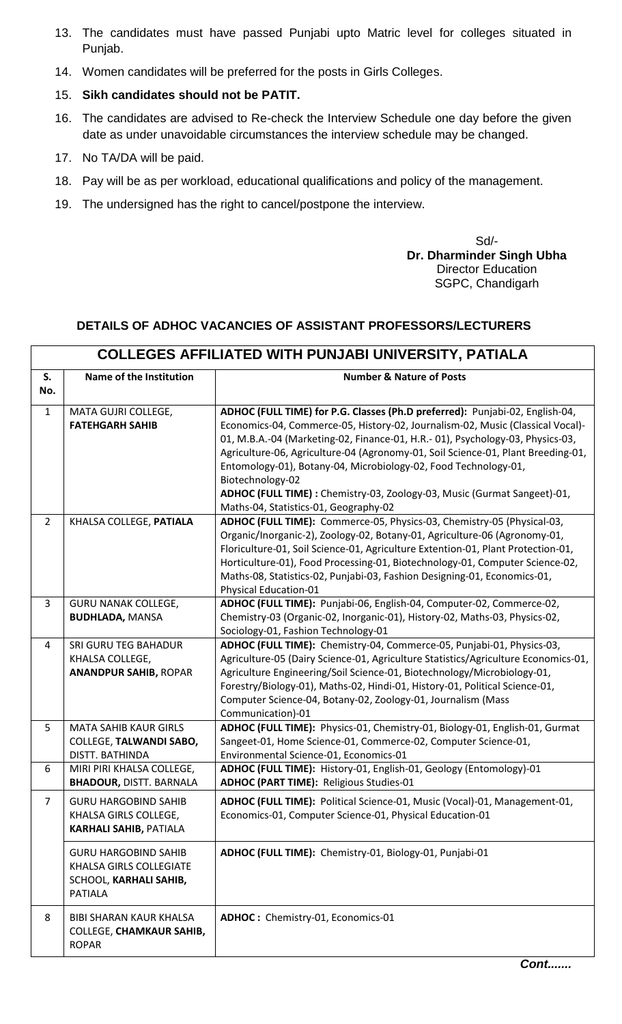- 13. The candidates must have passed Punjabi upto Matric level for colleges situated in Punjab.
- 14. Women candidates will be preferred for the posts in Girls Colleges.
- 15. **Sikh candidates should not be PATIT.**
- 16. The candidates are advised to Re-check the Interview Schedule one day before the given date as under unavoidable circumstances the interview schedule may be changed.
- 17. No TA/DA will be paid.
- 18. Pay will be as per workload, educational qualifications and policy of the management.
- 19. The undersigned has the right to cancel/postpone the interview.

Sd/- **Dr. Dharminder Singh Ubha** Director Education SGPC, Chandigarh

## **DETAILS OF ADHOC VACANCIES OF ASSISTANT PROFESSORS/LECTURERS**

|                | <b>COLLEGES AFFILIATED WITH PUNJABI UNIVERSITY, PATIALA</b>                                        |                                                                                                                                                                                                                                                                                                                                                                                                                                                                                                                                                 |  |  |  |
|----------------|----------------------------------------------------------------------------------------------------|-------------------------------------------------------------------------------------------------------------------------------------------------------------------------------------------------------------------------------------------------------------------------------------------------------------------------------------------------------------------------------------------------------------------------------------------------------------------------------------------------------------------------------------------------|--|--|--|
| S.<br>No.      | Name of the Institution                                                                            | <b>Number &amp; Nature of Posts</b>                                                                                                                                                                                                                                                                                                                                                                                                                                                                                                             |  |  |  |
| $\mathbf{1}$   | MATA GUJRI COLLEGE,<br><b>FATEHGARH SAHIB</b>                                                      | ADHOC (FULL TIME) for P.G. Classes (Ph.D preferred): Punjabi-02, English-04,<br>Economics-04, Commerce-05, History-02, Journalism-02, Music (Classical Vocal)-<br>01, M.B.A.-04 (Marketing-02, Finance-01, H.R.-01), Psychology-03, Physics-03,<br>Agriculture-06, Agriculture-04 (Agronomy-01, Soil Science-01, Plant Breeding-01,<br>Entomology-01), Botany-04, Microbiology-02, Food Technology-01,<br>Biotechnology-02<br>ADHOC (FULL TIME) : Chemistry-03, Zoology-03, Music (Gurmat Sangeet)-01,<br>Maths-04, Statistics-01, Geography-02 |  |  |  |
| $\overline{2}$ | KHALSA COLLEGE, PATIALA                                                                            | ADHOC (FULL TIME): Commerce-05, Physics-03, Chemistry-05 (Physical-03,<br>Organic/Inorganic-2), Zoology-02, Botany-01, Agriculture-06 (Agronomy-01,<br>Floriculture-01, Soil Science-01, Agriculture Extention-01, Plant Protection-01,<br>Horticulture-01), Food Processing-01, Biotechnology-01, Computer Science-02,<br>Maths-08, Statistics-02, Punjabi-03, Fashion Designing-01, Economics-01,<br>Physical Education-01                                                                                                                    |  |  |  |
| 3              | <b>GURU NANAK COLLEGE,</b><br><b>BUDHLADA, MANSA</b>                                               | ADHOC (FULL TIME): Punjabi-06, English-04, Computer-02, Commerce-02,<br>Chemistry-03 (Organic-02, Inorganic-01), History-02, Maths-03, Physics-02,<br>Sociology-01, Fashion Technology-01                                                                                                                                                                                                                                                                                                                                                       |  |  |  |
| $\overline{a}$ | SRI GURU TEG BAHADUR<br>KHALSA COLLEGE,<br><b>ANANDPUR SAHIB, ROPAR</b>                            | ADHOC (FULL TIME): Chemistry-04, Commerce-05, Punjabi-01, Physics-03,<br>Agriculture-05 (Dairy Science-01, Agriculture Statistics/Agriculture Economics-01,<br>Agriculture Engineering/Soil Science-01, Biotechnology/Microbiology-01,<br>Forestry/Biology-01), Maths-02, Hindi-01, History-01, Political Science-01,<br>Computer Science-04, Botany-02, Zoology-01, Journalism (Mass<br>Communication)-01                                                                                                                                      |  |  |  |
| 5              | <b>MATA SAHIB KAUR GIRLS</b><br><b>COLLEGE, TALWANDI SABO,</b><br><b>DISTT. BATHINDA</b>           | ADHOC (FULL TIME): Physics-01, Chemistry-01, Biology-01, English-01, Gurmat<br>Sangeet-01, Home Science-01, Commerce-02, Computer Science-01,<br>Environmental Science-01, Economics-01                                                                                                                                                                                                                                                                                                                                                         |  |  |  |
| 6              | MIRI PIRI KHALSA COLLEGE,<br><b>BHADOUR, DISTT. BARNALA</b>                                        | ADHOC (FULL TIME): History-01, English-01, Geology (Entomology)-01<br><b>ADHOC (PART TIME): Religious Studies-01</b>                                                                                                                                                                                                                                                                                                                                                                                                                            |  |  |  |
| 7              | <b>GURU HARGOBIND SAHIB</b><br>KHALSA GIRLS COLLEGE,<br><b>KARHALI SAHIB, PATIALA</b>              | ADHOC (FULL TIME): Political Science-01, Music (Vocal)-01, Management-01,<br>Economics-01, Computer Science-01, Physical Education-01                                                                                                                                                                                                                                                                                                                                                                                                           |  |  |  |
|                | <b>GURU HARGOBIND SAHIB</b><br>KHALSA GIRLS COLLEGIATE<br>SCHOOL, KARHALI SAHIB,<br><b>PATIALA</b> | ADHOC (FULL TIME): Chemistry-01, Biology-01, Punjabi-01                                                                                                                                                                                                                                                                                                                                                                                                                                                                                         |  |  |  |
| 8              | <b>BIBI SHARAN KAUR KHALSA</b><br><b>COLLEGE, CHAMKAUR SAHIB,</b><br><b>ROPAR</b>                  | ADHOC: Chemistry-01, Economics-01                                                                                                                                                                                                                                                                                                                                                                                                                                                                                                               |  |  |  |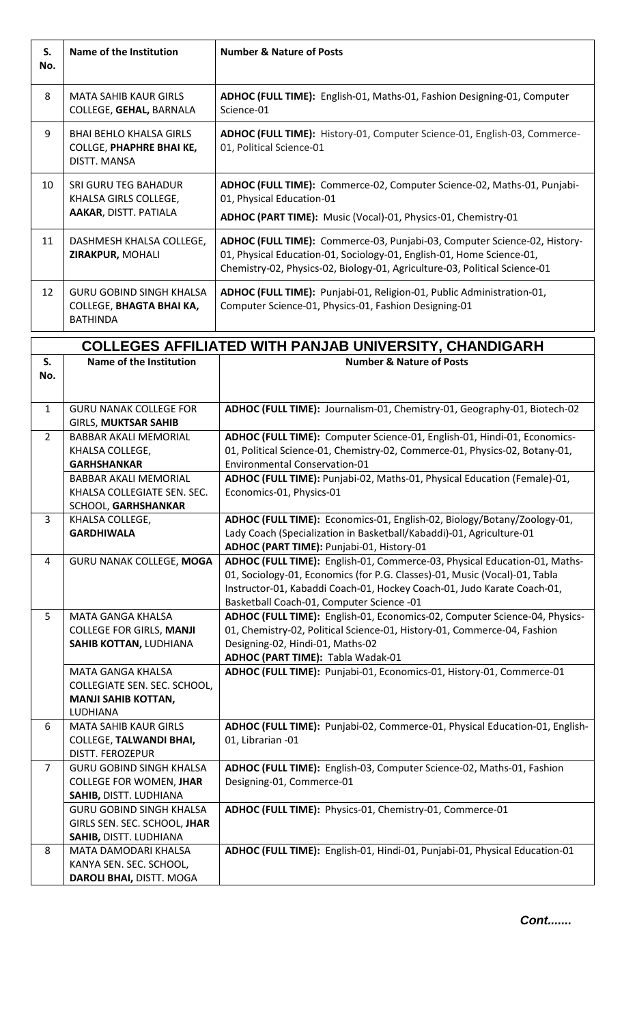| S.<br>No.      | <b>Name of the Institution</b>                                                           | <b>Number &amp; Nature of Posts</b>                                                                                                                                                                                                                                             |
|----------------|------------------------------------------------------------------------------------------|---------------------------------------------------------------------------------------------------------------------------------------------------------------------------------------------------------------------------------------------------------------------------------|
| 8              | <b>MATA SAHIB KAUR GIRLS</b><br>COLLEGE, GEHAL, BARNALA                                  | ADHOC (FULL TIME): English-01, Maths-01, Fashion Designing-01, Computer<br>Science-01                                                                                                                                                                                           |
| 9              | <b>BHAI BEHLO KHALSA GIRLS</b><br><b>COLLGE, PHAPHRE BHAI KE,</b><br><b>DISTT. MANSA</b> | ADHOC (FULL TIME): History-01, Computer Science-01, English-03, Commerce-<br>01, Political Science-01                                                                                                                                                                           |
| 10             | <b>SRI GURU TEG BAHADUR</b><br>KHALSA GIRLS COLLEGE,<br>AAKAR, DISTT. PATIALA            | ADHOC (FULL TIME): Commerce-02, Computer Science-02, Maths-01, Punjabi-<br>01, Physical Education-01<br>ADHOC (PART TIME): Music (Vocal)-01, Physics-01, Chemistry-01                                                                                                           |
| 11             | DASHMESH KHALSA COLLEGE,<br>ZIRAKPUR, MOHALI                                             | ADHOC (FULL TIME): Commerce-03, Punjabi-03, Computer Science-02, History-<br>01, Physical Education-01, Sociology-01, English-01, Home Science-01,<br>Chemistry-02, Physics-02, Biology-01, Agriculture-03, Political Science-01                                                |
| 12             | <b>GURU GOBIND SINGH KHALSA</b><br><b>COLLEGE, BHAGTA BHAI KA,</b><br><b>BATHINDA</b>    | ADHOC (FULL TIME): Punjabi-01, Religion-01, Public Administration-01,<br>Computer Science-01, Physics-01, Fashion Designing-01                                                                                                                                                  |
|                |                                                                                          | <b>COLLEGES AFFILIATED WITH PANJAB UNIVERSITY, CHANDIGARH</b>                                                                                                                                                                                                                   |
| S.             | Name of the Institution                                                                  | <b>Number &amp; Nature of Posts</b>                                                                                                                                                                                                                                             |
| No.            |                                                                                          |                                                                                                                                                                                                                                                                                 |
|                |                                                                                          |                                                                                                                                                                                                                                                                                 |
| $\mathbf{1}$   | <b>GURU NANAK COLLEGE FOR</b>                                                            | ADHOC (FULL TIME): Journalism-01, Chemistry-01, Geography-01, Biotech-02                                                                                                                                                                                                        |
| $\overline{2}$ | <b>GIRLS, MUKTSAR SAHIB</b><br><b>BABBAR AKALI MEMORIAL</b>                              | ADHOC (FULL TIME): Computer Science-01, English-01, Hindi-01, Economics-                                                                                                                                                                                                        |
|                | KHALSA COLLEGE,                                                                          | 01, Political Science-01, Chemistry-02, Commerce-01, Physics-02, Botany-01,                                                                                                                                                                                                     |
|                | <b>GARHSHANKAR</b>                                                                       | <b>Environmental Conservation-01</b>                                                                                                                                                                                                                                            |
|                | <b>BABBAR AKALI MEMORIAL</b>                                                             | ADHOC (FULL TIME): Punjabi-02, Maths-01, Physical Education (Female)-01,                                                                                                                                                                                                        |
|                | KHALSA COLLEGIATE SEN. SEC.                                                              | Economics-01, Physics-01                                                                                                                                                                                                                                                        |
| 3              | SCHOOL, GARHSHANKAR                                                                      |                                                                                                                                                                                                                                                                                 |
|                | KHALSA COLLEGE,<br><b>GARDHIWALA</b>                                                     | ADHOC (FULL TIME): Economics-01, English-02, Biology/Botany/Zoology-01,<br>Lady Coach (Specialization in Basketball/Kabaddi)-01, Agriculture-01                                                                                                                                 |
|                |                                                                                          | ADHOC (PART TIME): Punjabi-01, History-01                                                                                                                                                                                                                                       |
| 4              | GURU NANAK COLLEGE, MOGA                                                                 | ADHOC (FULL TIME): English-01, Commerce-03, Physical Education-01, Maths-<br>01, Sociology-01, Economics (for P.G. Classes)-01, Music (Vocal)-01, Tabla<br>Instructor-01, Kabaddi Coach-01, Hockey Coach-01, Judo Karate Coach-01,<br>Basketball Coach-01, Computer Science -01 |
| 5              | <b>MATA GANGA KHALSA</b>                                                                 | ADHOC (FULL TIME): English-01, Economics-02, Computer Science-04, Physics-                                                                                                                                                                                                      |
|                | <b>COLLEGE FOR GIRLS, MANJI</b>                                                          | 01, Chemistry-02, Political Science-01, History-01, Commerce-04, Fashion                                                                                                                                                                                                        |
|                | SAHIB KOTTAN, LUDHIANA                                                                   | Designing-02, Hindi-01, Maths-02                                                                                                                                                                                                                                                |
|                | MATA GANGA KHALSA                                                                        | <b>ADHOC (PART TIME): Tabla Wadak-01</b><br>ADHOC (FULL TIME): Punjabi-01, Economics-01, History-01, Commerce-01                                                                                                                                                                |
|                | COLLEGIATE SEN. SEC. SCHOOL,                                                             |                                                                                                                                                                                                                                                                                 |
|                | <b>MANJI SAHIB KOTTAN,</b>                                                               |                                                                                                                                                                                                                                                                                 |
|                | LUDHIANA                                                                                 |                                                                                                                                                                                                                                                                                 |
| 6              | <b>MATA SAHIB KAUR GIRLS</b><br><b>COLLEGE, TALWANDI BHAI,</b>                           | ADHOC (FULL TIME): Punjabi-02, Commerce-01, Physical Education-01, English-<br>01, Librarian -01                                                                                                                                                                                |
|                | DISTT. FEROZEPUR                                                                         |                                                                                                                                                                                                                                                                                 |
| $\overline{7}$ | <b>GURU GOBIND SINGH KHALSA</b>                                                          | ADHOC (FULL TIME): English-03, Computer Science-02, Maths-01, Fashion                                                                                                                                                                                                           |
|                | <b>COLLEGE FOR WOMEN, JHAR</b>                                                           | Designing-01, Commerce-01                                                                                                                                                                                                                                                       |
|                | SAHIB, DISTT. LUDHIANA                                                                   |                                                                                                                                                                                                                                                                                 |
|                | <b>GURU GOBIND SINGH KHALSA</b>                                                          | ADHOC (FULL TIME): Physics-01, Chemistry-01, Commerce-01                                                                                                                                                                                                                        |
|                | GIRLS SEN. SEC. SCHOOL, JHAR<br>SAHIB, DISTT. LUDHIANA                                   |                                                                                                                                                                                                                                                                                 |
| 8              | MATA DAMODARI KHALSA                                                                     | ADHOC (FULL TIME): English-01, Hindi-01, Punjabi-01, Physical Education-01                                                                                                                                                                                                      |
|                | KANYA SEN. SEC. SCHOOL,                                                                  |                                                                                                                                                                                                                                                                                 |
|                | DAROLI BHAI, DISTT. MOGA                                                                 |                                                                                                                                                                                                                                                                                 |